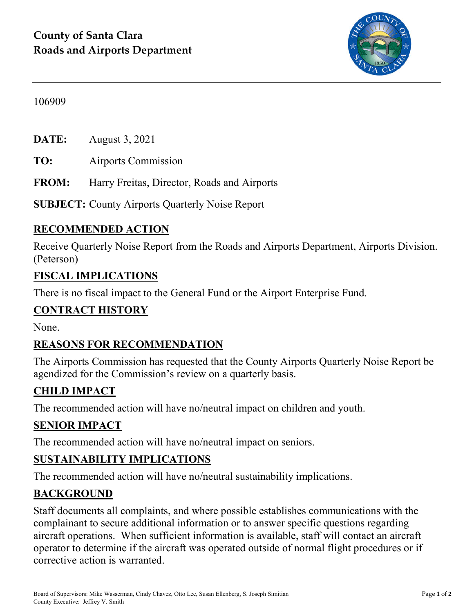

#### 106909

**DATE:** August 3, 2021

**TO:** Airports Commission

**FROM:** Harry Freitas, Director, Roads and Airports

**SUBJECT:** County Airports Quarterly Noise Report

## **RECOMMENDED ACTION**

Receive Quarterly Noise Report from the Roads and Airports Department, Airports Division. (Peterson)

### **FISCAL IMPLICATIONS**

There is no fiscal impact to the General Fund or the Airport Enterprise Fund.

### **CONTRACT HISTORY**

None.

### **REASONS FOR RECOMMENDATION**

The Airports Commission has requested that the County Airports Quarterly Noise Report be agendized for the Commission's review on a quarterly basis.

## **CHILD IMPACT**

The recommended action will have no/neutral impact on children and youth.

### **SENIOR IMPACT**

The recommended action will have no/neutral impact on seniors.

## **SUSTAINABILITY IMPLICATIONS**

The recommended action will have no/neutral sustainability implications.

### **BACKGROUND**

Staff documents all complaints, and where possible establishes communications with the complainant to secure additional information or to answer specific questions regarding aircraft operations. When sufficient information is available, staff will contact an aircraft operator to determine if the aircraft was operated outside of normal flight procedures or if corrective action is warranted.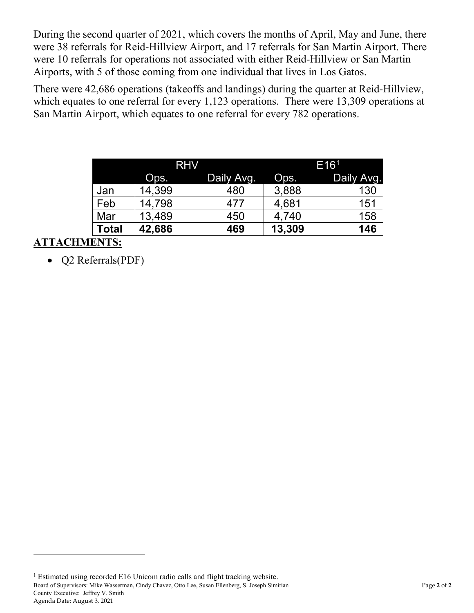During the second quarter of 2021, which covers the months of April, May and June, there were 38 referrals for Reid-Hillview Airport, and 17 referrals for San Martin Airport. There were 10 referrals for operations not associated with either Reid-Hillview or San Martin Airports, with 5 of those coming from one individual that lives in Los Gatos.

There were 42,686 operations (takeoffs and landings) during the quarter at Reid-Hillview, which equates to one referral for every 1,123 operations. There were 13,309 operations at San Martin Airport, which equates to one referral for every 782 operations.

|       | <b>RHV</b> |            | E16 <sup>1</sup> |            |
|-------|------------|------------|------------------|------------|
|       | Ops.       | Daily Avg. | Ops.             | Daily Avg. |
| Jan   | 14,399     | 480        | 3,888            | 130        |
| Feb   | 14,798     | 477        | 4,681            | 151        |
| Mar   | 13,489     | 450        | 4,740            | 158        |
| Total | 42,686     | 469        | 13,309           | 146        |

## **ATTACHMENTS:**

 $\overline{a}$ 

• Q2 Referrals(PDF)

<span id="page-1-0"></span>Board of Supervisors: Mike Wasserman, Cindy Chavez, Otto Lee, Susan Ellenberg, S. Joseph Simitian Page **2** of **2** County Executive: Jeffrey V. Smith Agenda Date: August 3, 2021 <sup>1</sup> Estimated using recorded E16 Unicom radio calls and flight tracking website.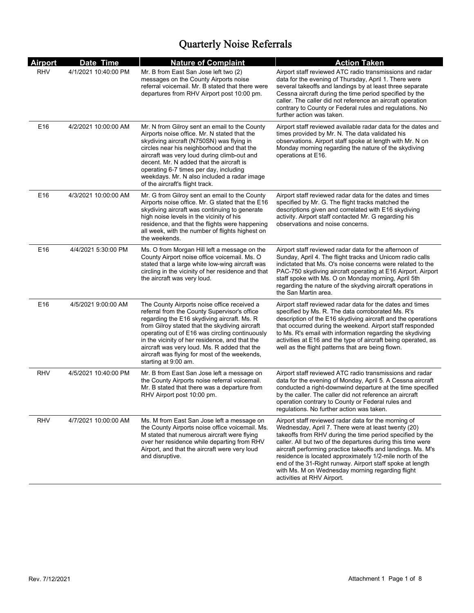| <b>Airport</b> | Date Time            | <b>Nature of Complaint</b>                                                                                                                                                                                                                                                                                                                                                                                                | <b>Action Taken</b>                                                                                                                                                                                                                                                                                                                                                                                                                                                                                               |
|----------------|----------------------|---------------------------------------------------------------------------------------------------------------------------------------------------------------------------------------------------------------------------------------------------------------------------------------------------------------------------------------------------------------------------------------------------------------------------|-------------------------------------------------------------------------------------------------------------------------------------------------------------------------------------------------------------------------------------------------------------------------------------------------------------------------------------------------------------------------------------------------------------------------------------------------------------------------------------------------------------------|
| <b>RHV</b>     | 4/1/2021 10:40:00 PM | Mr. B from East San Jose left two (2)<br>messages on the County Airports noise<br>referral voicemail. Mr. B stated that there were<br>departures from RHV Airport post 10:00 pm.                                                                                                                                                                                                                                          | Airport staff reviewed ATC radio transmissions and radar<br>data for the evening of Thursday, April 1. There were<br>several takeoffs and landings by at least three separate<br>Cessna aircraft during the time period specified by the<br>caller. The caller did not reference an aircraft operation<br>contrary to County or Federal rules and regulations. No<br>further action was taken.                                                                                                                    |
| E16            | 4/2/2021 10:00:00 AM | Mr. N from Gilroy sent an email to the County<br>Airports noise office. Mr. N stated that the<br>skydiving aircraft (N750SN) was flying in<br>circles near his neighborhood and that the<br>aircraft was very loud during climb-out and<br>decent. Mr. N added that the aircraft is<br>operating 6-7 times per day, including<br>weekdays. Mr. N also included a radar image<br>of the aircraft's flight track.           | Airport staff reviewed available radar data for the dates and<br>times provided by Mr. N. The data validated his<br>observations. Airport staff spoke at length with Mr. N on<br>Monday morning regarding the nature of the skydiving<br>operations at E16.                                                                                                                                                                                                                                                       |
| E16            | 4/3/2021 10:00:00 AM | Mr. G from Gilroy sent an email to the County<br>Airports noise office. Mr. G stated that the E16<br>skydiving aircraft was continuing to generate<br>high noise levels in the vicinity of his<br>residence, and that the flights were happening<br>all week, with the number of flights highest on<br>the weekends.                                                                                                      | Airport staff reviewed radar data for the dates and times<br>specified by Mr. G. The flight tracks matched the<br>descriptions given and correlated with E16 skydiving<br>activity. Airport staff contacted Mr. G regarding his<br>observations and noise concerns.                                                                                                                                                                                                                                               |
| E16            | 4/4/2021 5:30:00 PM  | Ms. O from Morgan Hill left a message on the<br>County Airport noise office voicemail. Ms. O<br>stated that a large white low-wing aircraft was<br>circling in the vicinity of her residence and that<br>the aircraft was very loud.                                                                                                                                                                                      | Airport staff reviewed radar data for the afternoon of<br>Sunday, April 4. The flight tracks and Unicom radio calls<br>indictated that Ms. O's noise concerns were related to the<br>PAC-750 skydiving aircraft operating at E16 Airport. Airport<br>staff spoke with Ms. O on Monday morning, April 5th<br>regarding the nature of the skydving aircraft operations in<br>the San Martin area.                                                                                                                   |
| E16            | 4/5/2021 9:00:00 AM  | The County Airports noise office received a<br>referral from the County Supervisor's office<br>regarding the E16 skydiving aircraft. Ms. R<br>from Gilroy stated that the skydiving aircraft<br>operating out of E16 was circling continuously<br>in the vicinity of her residence, and that the<br>aircraft was very loud. Ms. R added that the<br>aircraft was flying for most of the weekends,<br>starting at 9:00 am. | Airport staff reviewed radar data for the dates and times<br>specified by Ms. R. The data corroborated Ms. R's<br>description of the E16 skydiving aircraft and the operations<br>that occurred during the weekend. Airport staff responded<br>to Ms. R's email with information regarding the skydiving<br>activities at E16 and the type of aircraft being operated, as<br>well as the flight patterns that are being flown.                                                                                    |
| RHV            | 4/5/2021 10:40:00 PM | Mr. B from East San Jose left a message on<br>the County Airports noise referral voicemail.<br>Mr. B stated that there was a departure from<br>RHV Airport post 10:00 pm.                                                                                                                                                                                                                                                 | Airport staff reviewed ATC radio transmissions and radar<br>data for the evening of Monday, April 5. A Cessna aircraft<br>conducted a right-downwind departure at the time specified<br>by the caller. The caller did not reference an aircraft<br>operation contrary to County or Federal rules and<br>regulations. No further action was taken.                                                                                                                                                                 |
| <b>RHV</b>     | 4/7/2021 10:00:00 AM | Ms. M from East San Jose left a message on<br>the County Airports noise office voicemail. Ms.<br>M stated that numerous aircraft were flying<br>over her residence while departing from RHV<br>Airport, and that the aircraft were very loud<br>and disruptive.                                                                                                                                                           | Airport staff reviewed radar data for the morning of<br>Wednesday, April 7. There were at least twenty (20)<br>takeoffs from RHV during the time period specified by the<br>caller. All but two of the departures during this time were<br>aircraft performing practice takeoffs and landings. Ms. M's<br>residence is located approximately 1/2-mile north of the<br>end of the 31-Right runway. Airport staff spoke at length<br>with Ms. M on Wednesday morning regarding flight<br>activities at RHV Airport. |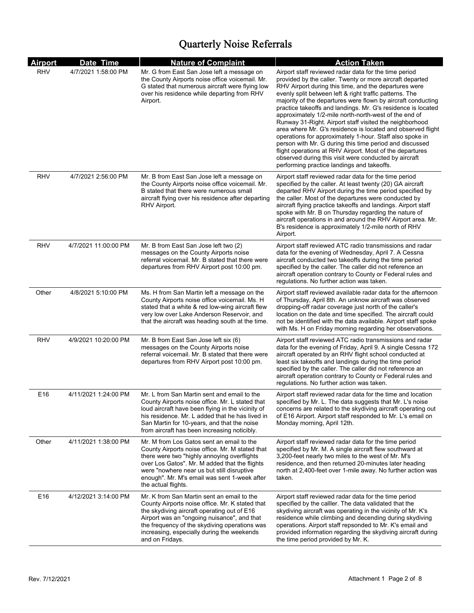| <b>Airport</b> | Date Time            | <b>Nature of Complaint</b>                                                                                                                                                                                                                                                                                        | <b>Action Taken</b>                                                                                                                                                                                                                                                                                                                                                                                                                                                                                                                                                                                                                                                                                                                                                                                                                                |
|----------------|----------------------|-------------------------------------------------------------------------------------------------------------------------------------------------------------------------------------------------------------------------------------------------------------------------------------------------------------------|----------------------------------------------------------------------------------------------------------------------------------------------------------------------------------------------------------------------------------------------------------------------------------------------------------------------------------------------------------------------------------------------------------------------------------------------------------------------------------------------------------------------------------------------------------------------------------------------------------------------------------------------------------------------------------------------------------------------------------------------------------------------------------------------------------------------------------------------------|
| <b>RHV</b>     | 4/7/2021 1:58:00 PM  | Mr. G from East San Jose left a message on<br>the County Airports noise office voicemail. Mr.<br>G stated that numerous aircraft were flying low<br>over his residence while departing from RHV<br>Airport.                                                                                                       | Airport staff reviewed radar data for the time period<br>provided by the caller. Twenty or more aircraft departed<br>RHV Airport during this time, and the departures were<br>evenly split between left & right traffic patterns. The<br>majority of the departures were flown by aircraft conducting<br>practice takeoffs and landings. Mr. G's residence is located<br>approximately 1/2-mile north-north-west of the end of<br>Runway 31-Right. Airport staff visited the neighborhood<br>area where Mr. G's residence is located and observed flight<br>operations for approximately 1-hour. Staff also spoke in<br>person with Mr. G during this time period and discussed<br>flight operations at RHV Airport. Most of the departures<br>observed during this visit were conducted by aircraft<br>performing practice landings and takeoffs. |
| <b>RHV</b>     | 4/7/2021 2:56:00 PM  | Mr. B from East San Jose left a message on<br>the County Airports noise office voicemail. Mr.<br>B stated that there were numerous small<br>aircraft flying over his residence after departing<br>RHV Airport.                                                                                                    | Airport staff reviewed radar data for the time period<br>specified by the caller. At least twenty (20) GA aircraft<br>departed RHV Airport during the time period specified by<br>the caller. Most of the departures were conducted by<br>aircraft flying practice takeoffs and landings. Airport staff<br>spoke with Mr. B on Thursday regarding the nature of<br>aircraft operations in and around the RHV Airport area. Mr.<br>B's residence is approximately 1/2-mile north of RHV<br>Airport.                                                                                                                                                                                                                                                                                                                                                 |
| <b>RHV</b>     | 4/7/2021 11:00:00 PM | Mr. B from East San Jose left two (2)<br>messages on the County Airports noise<br>referral voicemail. Mr. B stated that there were<br>departures from RHV Airport post 10:00 pm.                                                                                                                                  | Airport staff reviewed ATC radio transmissions and radar<br>data for the evening of Wednesday, April 7. A Cessna<br>aircraft conducted two takeoffs during the time period<br>specified by the caller. The caller did not reference an<br>aircraft operation contrary to County or Federal rules and<br>regulations. No further action was taken.                                                                                                                                                                                                                                                                                                                                                                                                                                                                                                  |
| Other          | 4/8/2021 5:10:00 PM  | Ms. H from San Martin left a message on the<br>County Airports noise office voicemail. Ms. H<br>stated that a white & red low-wing aircraft flew<br>very low over Lake Anderson Reservoir, and<br>that the aircraft was heading south at the time.                                                                | Airport staff reviewed available radar data for the afternoon<br>of Thursday, April 8th. An unknow aircraft was observed<br>dropping-off radar coverage just north of the caller's<br>location on the date and time specified. The aircraft could<br>not be identified with the data available. Airport staff spoke<br>with Ms. H on Friday morning regarding her observations.                                                                                                                                                                                                                                                                                                                                                                                                                                                                    |
| <b>RHV</b>     | 4/9/2021 10:20:00 PM | Mr. B from East San Jose left six (6)<br>messages on the County Airports noise<br>referral voicemail. Mr. B stated that there were<br>departures from RHV Airport post 10:00 pm.                                                                                                                                  | Airport staff reviewed ATC radio transmissions and radar<br>data for the evening of Friday, April 9. A single Cessna 172<br>aircraft operated by an RHV flight school conducted at<br>least six takeoffs and landings during the time period<br>specified by the caller. The caller did not reference an<br>aircraft operation contrary to County or Federal rules and<br>regulations. No further action was taken.                                                                                                                                                                                                                                                                                                                                                                                                                                |
| E16            | 4/11/2021 1:24:00 PM | Mr. L from San Martin sent and email to the<br>County Airports noise office. Mr. L stated that<br>loud aircraft have been flying in the vicinity of<br>his residence. Mr. L added that he has lived in<br>San Martin for 10-years, and that the noise<br>from aircraft has been increasing noticibly.             | Airport staff reviewed radar data for the time and location<br>specified by Mr. L. The data suggests that Mr. L's noise<br>concerns are related to the skydiving aircraft operating out<br>of E16 Airport. Airport staff responded to Mr. L's email on<br>Monday morning, April 12th.                                                                                                                                                                                                                                                                                                                                                                                                                                                                                                                                                              |
| Other          | 4/11/2021 1:38:00 PM | Mr. M from Los Gatos sent an email to the<br>County Airports noise office. Mr. M stated that<br>there were two "highly annoying overflights<br>over Los Gatos". Mr. M added that the flights<br>were "nowhere near us but still disruptive<br>enough". Mr. M's email was sent 1-week after<br>the actual flights. | Airport staff reviewed radar data for the time period<br>specified by Mr. M. A single aircraft flew southward at<br>3,200-feet nearly two miles to the west of Mr. M's<br>residence, and then returned 20-minutes later heading<br>north at 2,400-feet over 1-mile away. No further action was<br>taken.                                                                                                                                                                                                                                                                                                                                                                                                                                                                                                                                           |
| E16            | 4/12/2021 3:14:00 PM | Mr. K from San Martin sent an email to the<br>County Airports noise office. Mr. K stated that<br>the skydiving aircraft operating out of E16<br>Airport was an "ongoing nuisance", and that<br>the frequency of the skydiving operations was<br>increasing, especially during the weekends<br>and on Fridays.     | Airport staff reviewed radar data for the time period<br>specified by the calller. The data validated that the<br>skydiving aircraft was operating in the vicinity of Mr. K's<br>residence while climbing and decending during skydiving<br>operations. Airport staff repsonded to Mr. K's email and<br>provided information regarding the skydiving aircraft during<br>the time period provided by Mr. K.                                                                                                                                                                                                                                                                                                                                                                                                                                         |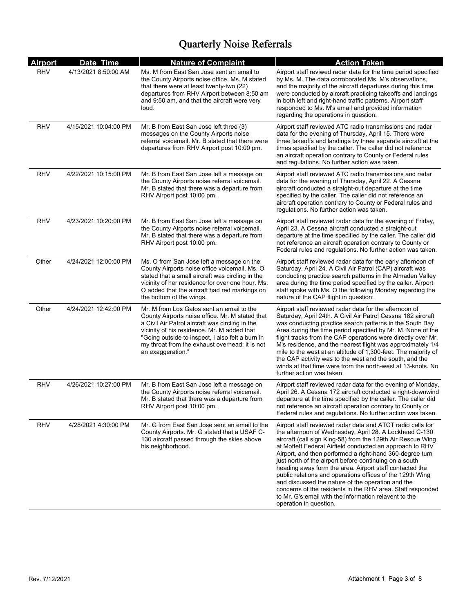| <b>Airport</b> | Date Time             | <b>Nature of Complaint</b>                                                                                                                                                                                                                                                                                                | <b>Action Taken</b>                                                                                                                                                                                                                                                                                                                                                                                                                                                                                                                                                                                                                                                                                 |
|----------------|-----------------------|---------------------------------------------------------------------------------------------------------------------------------------------------------------------------------------------------------------------------------------------------------------------------------------------------------------------------|-----------------------------------------------------------------------------------------------------------------------------------------------------------------------------------------------------------------------------------------------------------------------------------------------------------------------------------------------------------------------------------------------------------------------------------------------------------------------------------------------------------------------------------------------------------------------------------------------------------------------------------------------------------------------------------------------------|
| <b>RHV</b>     | 4/13/2021 8:50:00 AM  | Ms. M from East San Jose sent an email to<br>the County Airports noise office. Ms. M stated<br>that there were at least twenty-two (22)<br>departures from RHV Airport between 8:50 am<br>and 9:50 am, and that the aircraft were very<br>loud.                                                                           | Airport staff reviwed radar data for the time period specified<br>by Ms. M. The data corroborated Ms. M's observations,<br>and the majority of the aircraft departures during this time<br>were conducted by aircraft practicing takeoffs and landings<br>in both left and right-hand traffic patterns. Airport staff<br>responded to Ms. M's email and provided information<br>regarding the operations in question.                                                                                                                                                                                                                                                                               |
| RHV            | 4/15/2021 10:04:00 PM | Mr. B from East San Jose left three (3)<br>messages on the County Airports noise<br>referral voicemail. Mr. B stated that there were<br>departures from RHV Airport post 10:00 pm.                                                                                                                                        | Airport staff reviewed ATC radio transmissions and radar<br>data for the evening of Thursday, April 15. There were<br>three takeoffs and landings by three separate aircraft at the<br>times specified by the caller. The caller did not reference<br>an aircraft operation contrary to County or Federal rules<br>and regulations. No further action was taken.                                                                                                                                                                                                                                                                                                                                    |
| RHV            | 4/22/2021 10:15:00 PM | Mr. B from East San Jose left a message on<br>the County Airports noise referral voicemail.<br>Mr. B stated that there was a departure from<br>RHV Airport post 10:00 pm.                                                                                                                                                 | Airport staff reviewed ATC radio transmissions and radar<br>data for the evening of Thursday, April 22. A Cessna<br>aircraft conducted a straight-out departure at the time<br>specified by the caller. The caller did not reference an<br>aircraft operation contrary to County or Federal rules and<br>regulations. No further action was taken.                                                                                                                                                                                                                                                                                                                                                  |
| RHV            | 4/23/2021 10:20:00 PM | Mr. B from East San Jose left a message on<br>the County Airports noise referral voicemail.<br>Mr. B stated that there was a departure from<br>RHV Airport post 10:00 pm.                                                                                                                                                 | Airport staff reviewed radar data for the evening of Friday,<br>April 23. A Cessna aircraft conducted a straight-out<br>departure at the time specified by the caller. The caller did<br>not reference an aircraft operation contrary to County or<br>Federal rules and regulations. No further action was taken.                                                                                                                                                                                                                                                                                                                                                                                   |
| Other          | 4/24/2021 12:00:00 PM | Ms. O from San Jose left a message on the<br>County Airports noise office voicemail. Ms. O<br>stated that a small aircraft was circling in the<br>vicinity of her residence for over one hour. Ms.<br>O added that the aircraft had red markings on<br>the bottom of the wings.                                           | Airport staff reviewed radar data for the early afternoon of<br>Saturday, April 24. A Civil Air Patrol (CAP) aircraft was<br>conducting practice search patterns in the Almaden Valley<br>area during the time period specified by the caller. Airport<br>staff spoke with Ms. O the following Monday regarding the<br>nature of the CAP flight in question.                                                                                                                                                                                                                                                                                                                                        |
| Other          | 4/24/2021 12:42:00 PM | Mr. M from Los Gatos sent an email to the<br>County Airports noise office. Mr. M stated that<br>a Civil Air Patrol aircraft was circling in the<br>vicinity of his residence. Mr. M added that<br>"Going outside to inspect, I also felt a burn in<br>my throat from the exhaust overhead; it is not<br>an exaggeration." | Airport staff reviewed radar data for the afternoon of<br>Saturday, April 24th. A Civil Air Patrol Cessna 182 aircraft<br>was conducting practice search patterns in the South Bay<br>Area during the time period specified by Mr. M. None of the<br>flight tracks from the CAP operations were directly over Mr.<br>M's residence, and the nearest flight was approximately 1/4<br>mile to the west at an altitude of 1,300-feet. The majority of<br>the CAP activity was to the west and the south, and the<br>winds at that time were from the north-west at 13-knots. No<br>further action was taken.                                                                                           |
| RHV            | 4/26/2021 10:27:00 PM | Mr. B from East San Jose left a message on<br>the County Airports noise referral voicemail.<br>Mr. B stated that there was a departure from<br>RHV Airport post 10:00 pm.                                                                                                                                                 | Airport staff reviewed radar data for the evening of Monday,<br>April 26. A Cessna 172 aircraft conducted a right-downwind<br>departure at the time specified by the caller. The caller did<br>not reference an aircraft operation contrary to County or<br>Federal rules and regulations. No further action was taken.                                                                                                                                                                                                                                                                                                                                                                             |
| RHV            | 4/28/2021 4:30:00 PM  | Mr. G from East San Jose sent an email to the<br>County Airports. Mr. G stated that a USAF C-<br>130 aircraft passed through the skies above<br>his neighborhood.                                                                                                                                                         | Airport staff reviewed radar data and ATCT radio calls for<br>the afternoon of Wednesday, April 28. A Lockheed C-130<br>aircraft (call sign King-58) from the 129th Air Rescue Wing<br>at Moffett Federal Airfield conducted an approach to RHV<br>Airport, and then performed a right-hand 360-degree turn<br>just north of the airport before continuing on a south<br>heading away form the area. Airport staff contacted the<br>public relations and operations offices of the 129th Wing<br>and discussed the nature of the operation and the<br>concerns of the residents in the RHV area. Staff responded<br>to Mr. G's email with the information relavent to the<br>operation in question. |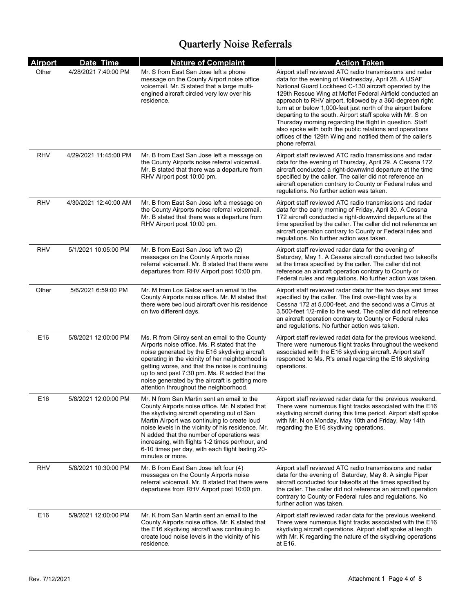| <b>Airport</b> | Date Time             | <b>Nature of Complaint</b>                                                                                                                                                                                                                                                                                                                                                                                                  | <b>Action Taken</b>                                                                                                                                                                                                                                                                                                                                                                                                                                                                                                                                                                                                                       |
|----------------|-----------------------|-----------------------------------------------------------------------------------------------------------------------------------------------------------------------------------------------------------------------------------------------------------------------------------------------------------------------------------------------------------------------------------------------------------------------------|-------------------------------------------------------------------------------------------------------------------------------------------------------------------------------------------------------------------------------------------------------------------------------------------------------------------------------------------------------------------------------------------------------------------------------------------------------------------------------------------------------------------------------------------------------------------------------------------------------------------------------------------|
| Other          | 4/28/2021 7:40:00 PM  | Mr. S from East San Jose left a phone<br>message on the County Airport noise office<br>voicemail. Mr. S stated that a large multi-<br>engined aircraft circled very low over his<br>residence.                                                                                                                                                                                                                              | Airport staff reviewed ATC radio transmissions and radar<br>data for the evening of Wednesday, April 28. A USAF<br>National Guard Lockheed C-130 aircraft operated by the<br>129th Rescue Wing at Moffet Federal Airfield conducted an<br>approach to RHV airport, followed by a 360-degreen right<br>turn at or below 1,000-feet just north of the airport before<br>departing to the south. Airport staff spoke with Mr. S on<br>Thursday morning regarding the flight in question. Staff<br>also spoke with both the public relations and operations<br>offices of the 129th Wing and notified them of the caller's<br>phone referral. |
| RHV            | 4/29/2021 11:45:00 PM | Mr. B from East San Jose left a message on<br>the County Airports noise referral voicemail.<br>Mr. B stated that there was a departure from<br>RHV Airport post 10:00 pm.                                                                                                                                                                                                                                                   | Airport staff reviewed ATC radio transmissions and radar<br>data for the evening of Thursday, April 29. A Cessna 172<br>aircraft conducted a right-downwind departure at the time<br>specified by the caller. The caller did not reference an<br>aircraft operation contrary to County or Federal rules and<br>regulations. No further action was taken.                                                                                                                                                                                                                                                                                  |
| RHV            | 4/30/2021 12:40:00 AM | Mr. B from East San Jose left a message on<br>the County Airports noise referral voicemail.<br>Mr. B stated that there was a departure from<br>RHV Airport post 10:00 pm.                                                                                                                                                                                                                                                   | Airport staff reviewed ATC radio transmissions and radar<br>data for the early morning of Friday, April 30. A Cessna<br>172 aircraft conducted a right-downwind departure at the<br>time specified by the caller. The caller did not reference an<br>aircraft operation contrary to County or Federal rules and<br>regulations. No further action was taken.                                                                                                                                                                                                                                                                              |
| RHV            | 5/1/2021 10:05:00 PM  | Mr. B from East San Jose left two (2)<br>messages on the County Airports noise<br>referral voicemail. Mr. B stated that there were<br>departures from RHV Airport post 10:00 pm.                                                                                                                                                                                                                                            | Airport staff reviewed radar data for the evening of<br>Saturday, May 1. A Cessna aircraft conducted two takeoffs<br>at the times specified by the caller. The caller did not<br>reference an aircraft operation contrary to County or<br>Federal rules and regulations. No further action was taken.                                                                                                                                                                                                                                                                                                                                     |
| Other          | 5/6/2021 6:59:00 PM   | Mr. M from Los Gatos sent an email to the<br>County Airports noise office. Mr. M stated that<br>there were two loud aircraft over his residence<br>on two different days.                                                                                                                                                                                                                                                   | Airport staff reviewed radar data for the two days and times<br>specified by the caller. The first over-flight was by a<br>Cessna 172 at 5,000-feet, and the second was a Cirrus at<br>3,500-feet 1/2-mile to the west. The caller did not reference<br>an aircraft operation contrary to County or Federal rules<br>and regulations. No further action was taken.                                                                                                                                                                                                                                                                        |
| E16            | 5/8/2021 12:00:00 PM  | Ms. R from Gilroy sent an email to the County<br>Airports noise office. Ms. R stated that the<br>noise generated by the E16 skydiving aircraft<br>operating in the vicinity of her neighborhood is<br>getting worse, and that the noise is continuing<br>up to and past 7:30 pm. Ms. R added that the<br>noise generated by the aircraft is getting more<br>attention throughout the neighborhood.                          | Airport staff reviewed radat data for the previous weekend.<br>There were numerous flight tracks throughout the weekend<br>associated with the E16 skydiving aircraft. Ariport staff<br>responded to Ms. R's email regarding the E16 skydiving<br>operations.                                                                                                                                                                                                                                                                                                                                                                             |
| E16            | 5/8/2021 12:00:00 PM  | Mr. N from San Martin sent an email to the<br>County Airports noise office. Mr. N stated that<br>the skydiving aircraft operating out of San<br>Martin Airport was continuing to create loud<br>noise levels in the vicinity of his residence. Mr.<br>N added that the number of operations was<br>increasing, with flights 1-2 times per/hour, and<br>6-10 times per day, with each flight lasting 20-<br>minutes or more. | Airport staff reviewed radar data for the previous weekend.<br>There were numerous flight tracks associated with the E16<br>skydiving aircraft during this time period. Airport staff spoke<br>with Mr. N on Monday, May 10th and Friday, May 14th<br>regarding the E16 skydiving operations.                                                                                                                                                                                                                                                                                                                                             |
| RHV            | 5/8/2021 10:30:00 PM  | Mr. B from East San Jose left four (4)<br>messages on the County Airports noise<br>referral voicemail. Mr. B stated that there were<br>departures from RHV Airport post 10:00 pm.                                                                                                                                                                                                                                           | Airport staff reviewed ATC radio transmissions and radar<br>data for the evening of Saturday, May 8. A single Piper<br>aircraft conducted four takeoffs at the times specified by<br>the caller. The caller did not reference an aircraft operation<br>contrary to County or Federal rules and regulations. No<br>further action was taken.                                                                                                                                                                                                                                                                                               |
| E16            | 5/9/2021 12:00:00 PM  | Mr. K from San Martin sent an email to the<br>County Airports noise office. Mr. K stated that<br>the E16 skydiving aircraft was continuing to<br>create loud noise levels in the vicinity of his<br>residence.                                                                                                                                                                                                              | Airport staff reviewed radar data for the previous weekend.<br>There were numerous flight tracks associated with the E16<br>skydiving aircraft operations. Airport staff spoke at length<br>with Mr. K regarding the nature of the skydiving operations<br>at E16.                                                                                                                                                                                                                                                                                                                                                                        |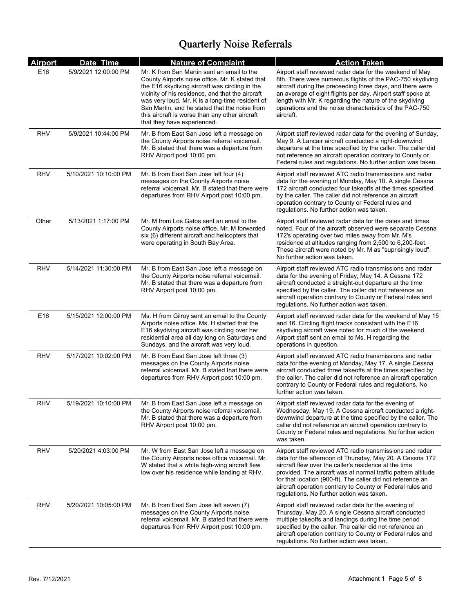| <b>Airport</b> | Date Time             | <b>Nature of Complaint</b>                                                                                                                                                                                                                                                                                                                                                               | <b>Action Taken</b>                                                                                                                                                                                                                                                                                                                                                                                                      |
|----------------|-----------------------|------------------------------------------------------------------------------------------------------------------------------------------------------------------------------------------------------------------------------------------------------------------------------------------------------------------------------------------------------------------------------------------|--------------------------------------------------------------------------------------------------------------------------------------------------------------------------------------------------------------------------------------------------------------------------------------------------------------------------------------------------------------------------------------------------------------------------|
| E16            | 5/9/2021 12:00:00 PM  | Mr. K from San Martin sent an email to the<br>County Airports noise office. Mr. K stated that<br>the E16 skydiving aircraft was circling in the<br>vicinity of his residence, and that the aircraft<br>was very loud. Mr. K is a long-time resident of<br>San Martin, and he stated that the noise from<br>this aircraft is worse than any other aircraft<br>that they have experienced. | Airport staff reviewed radar data for the weekend of May<br>8th. There were numerous flights of the PAC-750 skydiving<br>aircraft during the preceeding three days, and there were<br>an average of eight flights per day. Airport staff spoke at<br>length with Mr. K regarding the nature of the skydiving<br>operations and the noise characteristics of the PAC-750<br>aircraft.                                     |
| <b>RHV</b>     | 5/9/2021 10:44:00 PM  | Mr. B from East San Jose left a message on<br>the County Airports noise referral voicemail.<br>Mr. B stated that there was a departure from<br>RHV Airport post 10:00 pm.                                                                                                                                                                                                                | Airport staff reviewed radar data for the evening of Sunday,<br>May 9. A Lancair aircraft conducted a right-downwind<br>departure at the time specified by the caller. The caller did<br>not reference an aircraft operation contrary to County or<br>Federal rules and regulations. No further action was taken.                                                                                                        |
| RHV            | 5/10/2021 10:10:00 PM | Mr. B from East San Jose left four (4)<br>messages on the County Airports noise<br>referral voicemail. Mr. B stated that there were<br>departures from RHV Airport post 10:00 pm.                                                                                                                                                                                                        | Airport staff reviewed ATC radio transmissions and radar<br>data for the evening of Monday, May 10. A single Cessna<br>172 aircraft conducted four takeoffs at the times specified<br>by the caller. The caller did not reference an aircraft<br>operation contrary to County or Federal rules and<br>regulations. No further action was taken.                                                                          |
| Other          | 5/13/2021 1:17:00 PM  | Mr. M from Los Gatos sent an email to the<br>County Airports noise office. Mr. M forwarded<br>six (6) different aircraft and helicopters that<br>were operating in South Bay Area.                                                                                                                                                                                                       | Airport staff reviewed radar data for the dates and times<br>noted. Four of the aircraft observed were separate Cessna<br>172's operating over two miles away from Mr. M's<br>residence at altitudes ranging from 2,500 to 6,200-feet.<br>These aircraft were noted by Mr. M as "suprisingly loud".<br>No further action was taken.                                                                                      |
| <b>RHV</b>     | 5/14/2021 11:30:00 PM | Mr. B from East San Jose left a message on<br>the County Airports noise referral voicemail.<br>Mr. B stated that there was a departure from<br>RHV Airport post 10:00 pm.                                                                                                                                                                                                                | Airport staff reviewed ATC radio transmissions and radar<br>data for the evening of Friday, May 14. A Cessna 172<br>aircraft conducted a straight-out departure at the time<br>specified by the caller. The caller did not reference an<br>aircraft operation contrary to County or Federal rules and<br>regulations. No further action was taken.                                                                       |
| E16            | 5/15/2021 12:00:00 PM | Ms. H from Gilroy sent an email to the County<br>Airports noise office. Ms. H started that the<br>E16 skydiving aircraft was circling over her<br>residential area all day long on Saturdays and<br>Sundays, and the aircraft was very loud.                                                                                                                                             | Airport staff reviewed radar data for the weekend of May 15<br>and 16. Circling flight tracks consistant with the E16<br>skydiving aircraft were noted for much of the weekend.<br>Airport staff sent an email to Ms. H regarding the<br>operations in question.                                                                                                                                                         |
| <b>RHV</b>     | 5/17/2021 10:02:00 PM | Mr. B from East San Jose left three (3)<br>messages on the County Airports noise<br>referral voicemail. Mr. B stated that there were<br>departures from RHV Airport post 10:00 pm.                                                                                                                                                                                                       | Airport staff reviewed ATC radio transmissions and radar<br>data for the evening of Monday, May 17. A single Cessna<br>aircraft conducted three takeoffs at the times specified by<br>the caller. The caller did not reference an aircraft operation<br>contrary to County or Federal rules and regulations. No<br>further action was taken.                                                                             |
| RHV            | 5/19/2021 10:10:00 PM | Mr. B from East San Jose left a message on<br>the County Airports noise referral voicemail.<br>Mr. B stated that there was a departure from<br>RHV Airport post 10:00 pm.                                                                                                                                                                                                                | Airport staff reviewed radar data for the evening of<br>Wednesday, May 19. A Cessna aircraft conducted a right-<br>downwind departure at the time specified by the caller. The<br>caller did not reference an aircraft operation contrary to<br>County or Federal rules and regulations. No further action<br>was taken.                                                                                                 |
| RHV            | 5/20/2021 4:03:00 PM  | Mr. W from East San Jose left a message on<br>the County Airports noise office voicemail. Mr.<br>W stated that a white high-wing aircraft flew<br>low over his residence while landing at RHV.                                                                                                                                                                                           | Airport staff reviewed ATC radio transmissions and radar<br>data for the afternoon of Thursday, May 20. A Cessna 172<br>aircraft flew over the caller's residence at the time<br>provided. The aircraft was at normal traffic pattern altitude<br>for that location (900-ft). The caller did not reference an<br>aircraft operation contrary to County or Federal rules and<br>regulations. No further action was taken. |
| <b>RHV</b>     | 5/20/2021 10:05:00 PM | Mr. B from East San Jose left seven (7)<br>messages on the County Airports noise<br>referral voicemail. Mr. B stated that there were<br>departures from RHV Airport post 10:00 pm.                                                                                                                                                                                                       | Airport staff reviewed radar data for the evening of<br>Thursday, May 20. A single Cessna aircraft conducted<br>multiple takeoffs and landings during the time period<br>specified by the caller. The caller did not reference an<br>aircraft operation contrary to County or Federal rules and<br>regulations. No further action was taken.                                                                             |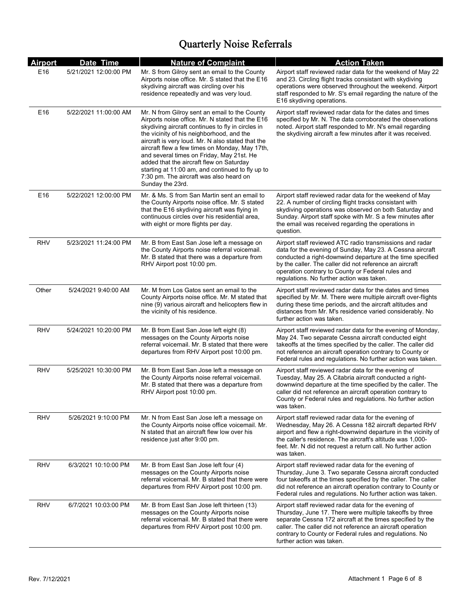| <b>Airport</b>  | Date Time             | <b>Nature of Complaint</b>                                                                                                                                                                                                                                                                                                                                                                                                                                                                                             | <b>Action Taken</b>                                                                                                                                                                                                                                                                                                                              |
|-----------------|-----------------------|------------------------------------------------------------------------------------------------------------------------------------------------------------------------------------------------------------------------------------------------------------------------------------------------------------------------------------------------------------------------------------------------------------------------------------------------------------------------------------------------------------------------|--------------------------------------------------------------------------------------------------------------------------------------------------------------------------------------------------------------------------------------------------------------------------------------------------------------------------------------------------|
| E16             | 5/21/2021 12:00:00 PM | Mr. S from Gilroy sent an email to the County<br>Airports noise office. Mr. S stated that the E16<br>skydiving aircraft was circling over his<br>residence repeatedly and was very loud.                                                                                                                                                                                                                                                                                                                               | Airport staff reviewed radar data for the weekend of May 22<br>and 23. Circling flight tracks consistant with skydiving<br>operations were observed throughout the weekend. Airport<br>staff responded to Mr. S's email regarding the nature of the<br>E16 skydiving operations.                                                                 |
| E16             | 5/22/2021 11:00:00 AM | Mr. N from Gilroy sent an email to the County<br>Airports noise office. Mr. N stated that the E16<br>skydiving aircraft continues to fly in circles in<br>the vicinity of his neighborhood, and the<br>aircraft is very loud. Mr. N also stated that the<br>aircraft flew a few times on Monday, May 17th,<br>and several times on Friday, May 21st. He<br>added that the aircraft flew on Saturday<br>starting at 11:00 am, and continued to fly up to<br>7:30 pm. The aircraft was also heard on<br>Sunday the 23rd. | Airport staff reviewed radar data for the dates and times<br>specified by Mr. N. The data corroborated the observations<br>noted. Airport staff responded to Mr. N's email regarding<br>the skydiving aircraft a few minutes after it was received.                                                                                              |
| E <sub>16</sub> | 5/22/2021 12:00:00 PM | Mr. & Ms. S from San Martin sent an email to<br>the County Airports noise office. Mr. S stated<br>that the E16 skydiving aircraft was flying in<br>continuous circles over his residential area,<br>with eight or more flights per day.                                                                                                                                                                                                                                                                                | Airport staff reviewed radar data for the weekend of May<br>22. A number of circling flight tracks consistant with<br>skydiving operations was observed on both Saturday and<br>Sunday. Airport staff spoke with Mr. S a few minutes after<br>the email was received regarding the operations in<br>question.                                    |
| RHV             | 5/23/2021 11:24:00 PM | Mr. B from East San Jose left a message on<br>the County Airports noise referral voicemail.<br>Mr. B stated that there was a departure from<br>RHV Airport post 10:00 pm.                                                                                                                                                                                                                                                                                                                                              | Airport staff reviewed ATC radio transmissions and radar<br>data for the evening of Sunday, May 23. A Cessna aircraft<br>conducted a right-downwind departure at the time specified<br>by the caller. The caller did not reference an aircraft<br>operation contrary to County or Federal rules and<br>regulations. No further action was taken. |
| Other           | 5/24/2021 9:40:00 AM  | Mr. M from Los Gatos sent an email to the<br>County Airports noise office. Mr. M stated that<br>nine (9) various aircraft and helicopters flew in<br>the vicinity of his residence.                                                                                                                                                                                                                                                                                                                                    | Airport staff reviewed radar data for the dates and times<br>specified by Mr. M. There were multiple aircraft over-flights<br>during these time periods, and the aircraft altitudes and<br>distances from Mr. M's residence varied considerably. No<br>further action was taken.                                                                 |
| RHV             | 5/24/2021 10:20:00 PM | Mr. B from East San Jose left eight (8)<br>messages on the County Airports noise<br>referral voicemail. Mr. B stated that there were<br>departures from RHV Airport post 10:00 pm.                                                                                                                                                                                                                                                                                                                                     | Airport staff reviewed radar data for the evening of Monday,<br>May 24. Two separate Cessna aircraft conducted eight<br>takeoffs at the times specified by the caller. The caller did<br>not reference an aircraft operation contrary to County or<br>Federal rules and regulations. No further action was taken.                                |
| <b>RHV</b>      | 5/25/2021 10:30:00 PM | Mr. B from East San Jose left a message on<br>the County Airports noise referral voicemail.<br>Mr. B stated that there was a departure from<br>RHV Airport post 10:00 pm.                                                                                                                                                                                                                                                                                                                                              | Airport staff reviewed radar data for the evening of<br>Tuesday, May 25. A Citabria aircraft conducted a right-<br>downwind departure at the time specified by the caller. The<br>caller did not reference an aircraft operation contrary to<br>County or Federal rules and regulations. No further action<br>was taken.                         |
| RHV             | 5/26/2021 9:10:00 PM  | Mr. N from East San Jose left a message on<br>the County Airports noise office voicemail. Mr.<br>N stated that an aircraft flew low over his<br>residence just after 9:00 pm.                                                                                                                                                                                                                                                                                                                                          | Airport staff reviewed radar data for the evening of<br>Wednesday, May 26. A Cessna 182 aircraft departed RHV<br>airport and flew a right-downwind departure in the vicinity of<br>the caller's residence. The aircraft's altitude was 1,000-<br>feet. Mr. N did not request a return call. No further action<br>was taken.                      |
| <b>RHV</b>      | 6/3/2021 10:10:00 PM  | Mr. B from East San Jose left four (4)<br>messages on the County Airports noise<br>referral voicemail. Mr. B stated that there were<br>departures from RHV Airport post 10:00 pm.                                                                                                                                                                                                                                                                                                                                      | Airport staff reviewed radar data for the evening of<br>Thursday, June 3. Two separate Cessna aircraft conducted<br>four takeoffs at the times specified by the caller. The caller<br>did not reference an aircraft operation contrary to County or<br>Federal rules and regulations. No further action was taken.                               |
| <b>RHV</b>      | 6/7/2021 10:03:00 PM  | Mr. B from East San Jose left thirteen (13)<br>messages on the County Airports noise<br>referral voicemail. Mr. B stated that there were<br>departures from RHV Airport post 10:00 pm.                                                                                                                                                                                                                                                                                                                                 | Airport staff reviewed radar data for the evening of<br>Thursday, June 17. There were multiple takeoffs by three<br>separate Cessna 172 aircraft at the times specified by the<br>caller. The caller did not reference an aircraft operation<br>contrary to County or Federal rules and regulations. No<br>further action was taken.             |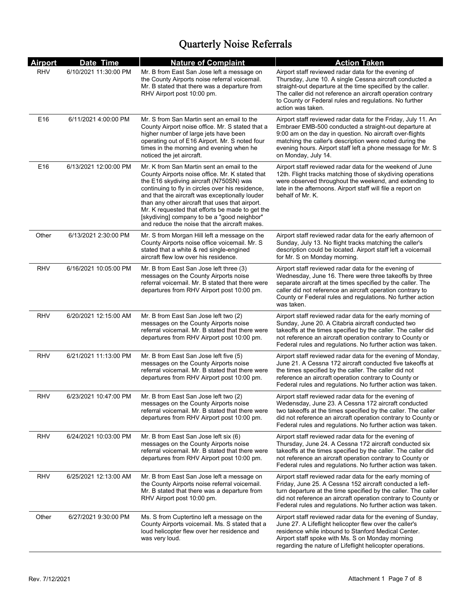| <b>Airport</b> | Date Time             | <b>Nature of Complaint</b>                                                                                                                                                                                                                                                                                                                                                                                                                           | <b>Action Taken</b>                                                                                                                                                                                                                                                                                                                 |
|----------------|-----------------------|------------------------------------------------------------------------------------------------------------------------------------------------------------------------------------------------------------------------------------------------------------------------------------------------------------------------------------------------------------------------------------------------------------------------------------------------------|-------------------------------------------------------------------------------------------------------------------------------------------------------------------------------------------------------------------------------------------------------------------------------------------------------------------------------------|
| <b>RHV</b>     | 6/10/2021 11:30:00 PM | Mr. B from East San Jose left a message on<br>the County Airports noise referral voicemail.<br>Mr. B stated that there was a departure from<br>RHV Airport post 10:00 pm.                                                                                                                                                                                                                                                                            | Airport staff reviewed radar data for the evening of<br>Thursday, June 10. A single Cessna aircraft conducted a<br>straight-out departure at the time specified by the caller.<br>The caller did not reference an aircraft operation contrary<br>to County or Federal rules and regulations. No further<br>action was taken.        |
| E16            | 6/11/2021 4:00:00 PM  | Mr. S from San Martin sent an email to the<br>County Airport noise office. Mr. S stated that a<br>higher number of large jets have been<br>operating out of E16 Airport. Mr. S noted four<br>times in the morning and evening when he<br>noticed the jet aircraft.                                                                                                                                                                                   | Airport staff reviewed radar data for the Friday, July 11. An<br>Embraer EMB-500 conducted a straight-out departure at<br>9:00 am on the day in question. No aircraft over-flights<br>matching the caller's description were noted during the<br>evening hours. Airport staff left a phone message for Mr. S<br>on Monday, July 14. |
| E16            | 6/13/2021 12:00:00 PM | Mr. K from San Martin sent an email to the<br>County Airports noise office. Mr. K stated that<br>the E16 skydiving aircraft (N750SN) was<br>continuing to fly in circles over his residence,<br>and that the aircraft was exceptionally louder<br>than any other aircraft that uses that airport.<br>Mr. K requested that efforts be made to get the<br>[skydiving] company to be a "good neighbor"<br>and reduce the noise that the aircraft makes. | Airport staff reviewed radar data for the weekend of June<br>12th. Flight tracks matching those of skydiving operations<br>were observed throughout the weekend, and extending to<br>late in the afternoons. Airport staff will file a report on<br>behalf of Mr. K.                                                                |
| Other          | 6/13/2021 2:30:00 PM  | Mr. S from Morgan Hill left a message on the<br>County Airports noise office voicemail. Mr. S.<br>stated that a white & red single-engined<br>aircraft flew low over his residence.                                                                                                                                                                                                                                                                  | Airport staff reviewed radar data for the early afternoon of<br>Sunday, July 13. No flight tracks matching the caller's<br>description could be located. Airport staff left a voicemail<br>for Mr. S on Monday morning.                                                                                                             |
| <b>RHV</b>     | 6/16/2021 10:05:00 PM | Mr. B from East San Jose left three (3)<br>messages on the County Airports noise<br>referral voicemail. Mr. B stated that there were<br>departures from RHV Airport post 10:00 pm.                                                                                                                                                                                                                                                                   | Airport staff reviewed radar data for the evening of<br>Wednesday, June 16. There were three takeoffs by three<br>separate aircraft at the times specified by the caller. The<br>caller did not reference an aircraft operation contrary to<br>County or Federal rules and regulations. No further action<br>was taken.             |
| RHV            | 6/20/2021 12:15:00 AM | Mr. B from East San Jose left two (2)<br>messages on the County Airports noise<br>referral voicemail. Mr. B stated that there were<br>departures from RHV Airport post 10:00 pm.                                                                                                                                                                                                                                                                     | Airport staff reviewed radar data for the early morning of<br>Sunday, June 20. A Citabria aircraft conducted two<br>takeoffs at the times specified by the caller. The caller did<br>not reference an aircraft operation contrary to County or<br>Federal rules and regulations. No further action was taken.                       |
| <b>RHV</b>     | 6/21/2021 11:13:00 PM | Mr. B from East San Jose left five (5)<br>messages on the County Airports noise<br>referral voicemail. Mr. B stated that there were<br>departures from RHV Airport post 10:00 pm.                                                                                                                                                                                                                                                                    | Airport staff reviewed radar data for the evening of Monday,<br>June 21. A Cessna 172 aircraft conducted five takeoffs at<br>the times specified by the caller. The caller did not<br>reference an aircraft operation contrary to County or<br>Federal rules and regulations. No further action was taken.                          |
| RHV            | 6/23/2021 10:47:00 PM | Mr. B from East San Jose left two (2)<br>messages on the County Airports noise<br>referral voicemail. Mr. B stated that there were<br>departures from RHV Airport post 10:00 pm.                                                                                                                                                                                                                                                                     | Airport staff reviewed radar data for the evening of<br>Wedensday, June 23. A Cessna 172 aircraft conducted<br>two takeoffs at the times specified by the caller. The caller<br>did not reference an aircraft operation contrary to County or<br>Federal rules and regulations. No further action was taken.                        |
| RHV            | 6/24/2021 10:03:00 PM | Mr. B from East San Jose left six (6)<br>messages on the County Airports noise<br>referral voicemail. Mr. B stated that there were<br>departures from RHV Airport post 10:00 pm.                                                                                                                                                                                                                                                                     | Airport staff reviewed radar data for the evening of<br>Thursday, June 24. A Cessna 172 aircraft conducted six<br>takeoffs at the times specified by the caller. The caller did<br>not reference an aircraft operation contrary to County or<br>Federal rules and regulations. No further action was taken.                         |
| RHV            | 6/25/2021 12:13:00 AM | Mr. B from East San Jose left a message on<br>the County Airports noise referral voicemail.<br>Mr. B stated that there was a departure from<br>RHV Airport post 10:00 pm.                                                                                                                                                                                                                                                                            | Airport staff reviewed radar data for the early morning of<br>Friday, June 25. A Cessna 152 aircraft conducted a left-<br>turn departure at the time specified by the caller. The caller<br>did not reference an aircraft operation contrary to County or<br>Federal rules and regulations. No further action was taken.            |
| Other          | 6/27/2021 9:30:00 PM  | Ms. S from Cuptertino left a message on the<br>County Airports voicemail. Ms. S stated that a<br>loud helicopter flew over her residence and<br>was very loud.                                                                                                                                                                                                                                                                                       | Airport staff reviewed radar data for the evening of Sunday,<br>June 27. A Lifeflight helicopter flew over the caller's<br>residence while inbound to Stanford Medical Center.<br>Airport staff spoke with Ms. S on Monday morning<br>regarding the nature of Lifeflight helicopter operations.                                     |